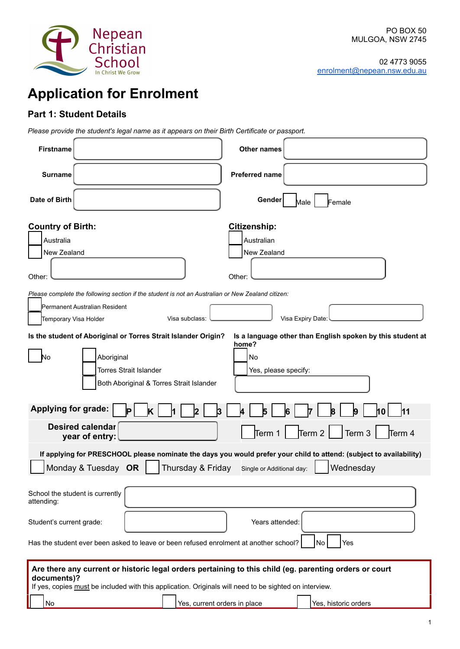

# **Application for Enrolment**

# **Part 1: Student Details**

*Please provide the student's legal name as it appears on their Birth Certificate or passport.*

| <b>Firstname</b>                                                                                                                                                                                                                | Other names                                                                                                                                                   |
|---------------------------------------------------------------------------------------------------------------------------------------------------------------------------------------------------------------------------------|---------------------------------------------------------------------------------------------------------------------------------------------------------------|
| <b>Surname</b>                                                                                                                                                                                                                  | <b>Preferred name</b>                                                                                                                                         |
| Date of Birth                                                                                                                                                                                                                   | Gender<br>Male<br>Female                                                                                                                                      |
| <b>Country of Birth:</b><br>Australia<br>New Zealand<br>Other:<br>Please complete the following section if the student is not an Australian or New Zealand citizen:<br>Permanent Australian Resident                            | <b>Citizenship:</b><br>Australian<br>New Zealand<br>Other:                                                                                                    |
| Visa subclass:<br>Temporary Visa Holder                                                                                                                                                                                         | Visa Expiry Date:                                                                                                                                             |
| Is the student of Aboriginal or Torres Strait Islander Origin?<br>Aboriginal<br>N٥<br><b>Torres Strait Islander</b><br>Both Aboriginal & Torres Strait Islander                                                                 | Is a language other than English spoken by this student at<br>home?<br>No<br>Yes, please specify:                                                             |
| <b>Applying for grade:</b><br>2<br>3                                                                                                                                                                                            | 10<br>14.                                                                                                                                                     |
| <b>Desired calendar</b><br>year of entry:                                                                                                                                                                                       | Term 2 $ $<br>Term 3<br>Term 1<br>Term 4                                                                                                                      |
| Monday & Tuesday OR<br>Thursday & Friday                                                                                                                                                                                        | If applying for PRESCHOOL please nominate the days you would prefer your child to attend: (subject to availability)<br>Wednesday<br>Single or Additional day: |
| School the student is currently<br>attending:                                                                                                                                                                                   |                                                                                                                                                               |
| Student's current grade:                                                                                                                                                                                                        | Years attended:                                                                                                                                               |
| Has the student ever been asked to leave or been refused enrolment at another school?                                                                                                                                           | No<br>Yes                                                                                                                                                     |
| Are there any current or historic legal orders pertaining to this child (eg. parenting orders or court<br>documents)?<br>If yes, copies must be included with this application. Originals will need to be sighted on interview. |                                                                                                                                                               |
| Yes, current orders in place<br>No                                                                                                                                                                                              | Yes, historic orders                                                                                                                                          |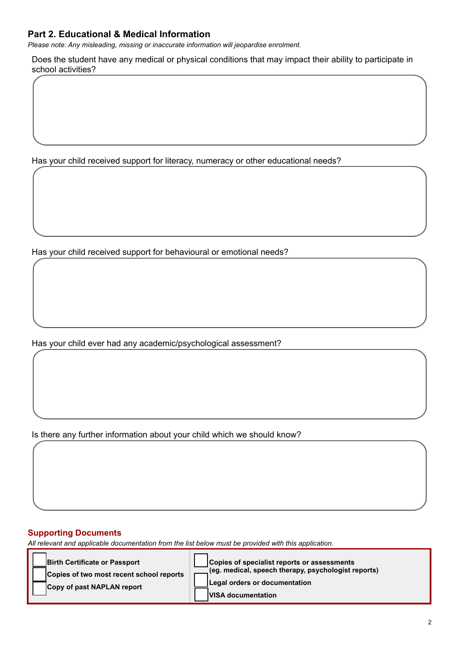# **Part 2. Educational & Medical Information**

*Please note: Any misleading, missing or inaccurate information will jeopardise enrolment.*

Does the student have any medical or physical conditions that may impact their ability to participate in school activities?

Has your child received support for literacy, numeracy or other educational needs?

Has your child received support for behavioural or emotional needs?

Has your child ever had any academic/psychological assessment?

Is there any further information about your child which we should know?

## **Supporting Documents**

*All relevant and applicable documentation from the list below must be provided with this application.*

**Birth Certificate or Passport Copies of two most recent school reports Copy of past NAPLAN report Copies of specialist reports or assessments**

**(eg. medical, speech therapy, psychologist reports) Legal orders or documentation VISA documentation**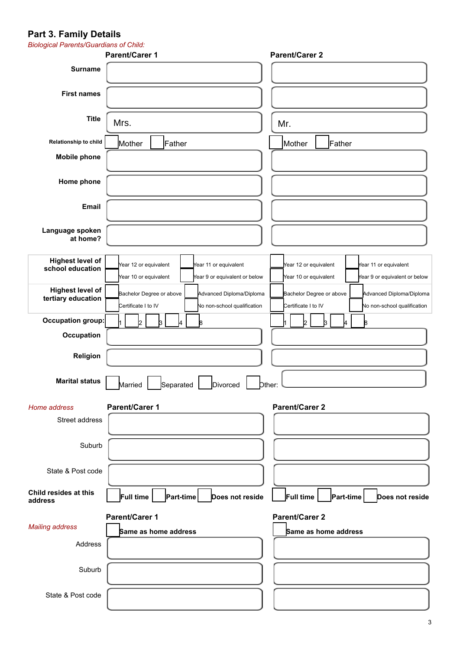## **Part 3. Family Details**

| <b>Biological Parents/Guardians of Child:</b> |                                                        |                                                        |
|-----------------------------------------------|--------------------------------------------------------|--------------------------------------------------------|
|                                               | <b>Parent/Carer 1</b>                                  | <b>Parent/Carer 2</b>                                  |
| <b>Surname</b>                                |                                                        |                                                        |
|                                               |                                                        |                                                        |
| <b>First names</b>                            |                                                        |                                                        |
|                                               |                                                        |                                                        |
| <b>Title</b>                                  | Mrs.                                                   |                                                        |
|                                               |                                                        | Mr.                                                    |
| Relationship to child                         | Mother<br>Father                                       | Father<br>Mother                                       |
| <b>Mobile phone</b>                           |                                                        |                                                        |
|                                               |                                                        |                                                        |
| Home phone                                    |                                                        |                                                        |
|                                               |                                                        |                                                        |
| <b>Email</b>                                  |                                                        |                                                        |
|                                               |                                                        |                                                        |
|                                               |                                                        |                                                        |
| Language spoken<br>at home?                   |                                                        |                                                        |
|                                               |                                                        |                                                        |
| <b>Highest level of</b>                       | Year 12 or equivalent<br>Year 11 or equivalent         | Year 12 or equivalent<br>Year 11 or equivalent         |
| school education                              | Year 10 or equivalent<br>Year 9 or equivalent or below | Year 10 or equivalent<br>Year 9 or equivalent or below |
|                                               |                                                        |                                                        |
| <b>Highest level of</b><br>tertiary education | Advanced Diploma/Diploma<br>Bachelor Degree or above   | Advanced Diploma/Diploma<br>Bachelor Degree or above   |
|                                               | Certificate I to IV<br>No non-school qualification     | Certificate I to IV<br>No non-school qualification     |
| Occupation group:                             | 8<br>b.                                                | b.<br>B<br>R.                                          |
| Occupation                                    |                                                        |                                                        |
|                                               |                                                        |                                                        |
| Religion                                      |                                                        |                                                        |
|                                               |                                                        |                                                        |
| <b>Marital status</b>                         | Married<br>Divorced<br>Separated                       | Dther:                                                 |
|                                               |                                                        |                                                        |
| Home address                                  | <b>Parent/Carer 1</b>                                  | <b>Parent/Carer 2</b>                                  |
| Street address                                |                                                        |                                                        |
|                                               |                                                        |                                                        |
|                                               |                                                        |                                                        |
| Suburb                                        |                                                        |                                                        |
|                                               |                                                        |                                                        |
| State & Post code                             |                                                        |                                                        |
| Child resides at this                         |                                                        |                                                        |
| address                                       | Full time<br>Part-time<br>Does not reside              | Full time<br>Part-time<br>Does not reside              |
|                                               |                                                        |                                                        |
| <b>Mailing address</b>                        | <b>Parent/Carer 1</b>                                  | <b>Parent/Carer 2</b>                                  |
|                                               | Same as home address                                   | Same as home address                                   |
| Address                                       |                                                        |                                                        |
|                                               |                                                        |                                                        |
| Suburb                                        |                                                        |                                                        |
|                                               |                                                        |                                                        |
| State & Post code                             |                                                        |                                                        |
|                                               |                                                        |                                                        |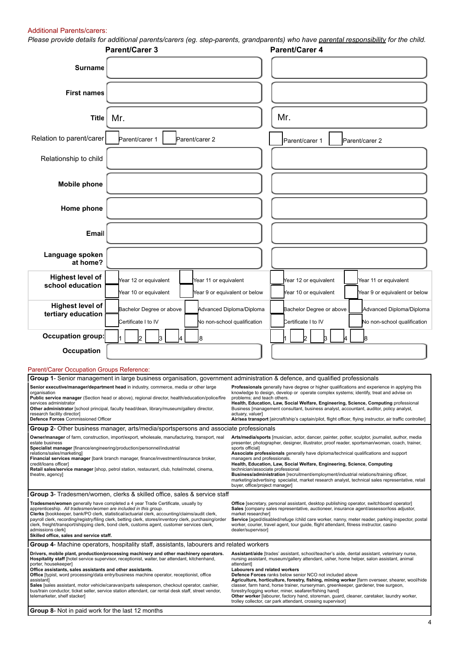#### Additional Parents/carers:

*Please provide details for additional parents/carers (eg. step-parents, grandparents) who have parental responsibility for the child.*

|                                                                                                                                                                                                                                                                                                                                                                                                                                                                                                                                                                                                                                                                                                                                                                                                                                                                                                                                                                                                                                                                                                                                                                                                                                                                | <b>Parent/Carer 3</b>                                                                                                                                                                                                                                                                                                                                                                                                                                                                                |                                                         |  | <b>Parent/Carer 4</b>                                                                                                                                                             |  |                                                                                                                                                                                                                                                                                                                                                                                                                                                                                  |
|----------------------------------------------------------------------------------------------------------------------------------------------------------------------------------------------------------------------------------------------------------------------------------------------------------------------------------------------------------------------------------------------------------------------------------------------------------------------------------------------------------------------------------------------------------------------------------------------------------------------------------------------------------------------------------------------------------------------------------------------------------------------------------------------------------------------------------------------------------------------------------------------------------------------------------------------------------------------------------------------------------------------------------------------------------------------------------------------------------------------------------------------------------------------------------------------------------------------------------------------------------------|------------------------------------------------------------------------------------------------------------------------------------------------------------------------------------------------------------------------------------------------------------------------------------------------------------------------------------------------------------------------------------------------------------------------------------------------------------------------------------------------------|---------------------------------------------------------|--|-----------------------------------------------------------------------------------------------------------------------------------------------------------------------------------|--|----------------------------------------------------------------------------------------------------------------------------------------------------------------------------------------------------------------------------------------------------------------------------------------------------------------------------------------------------------------------------------------------------------------------------------------------------------------------------------|
| <b>Surname</b>                                                                                                                                                                                                                                                                                                                                                                                                                                                                                                                                                                                                                                                                                                                                                                                                                                                                                                                                                                                                                                                                                                                                                                                                                                                 |                                                                                                                                                                                                                                                                                                                                                                                                                                                                                                      |                                                         |  |                                                                                                                                                                                   |  |                                                                                                                                                                                                                                                                                                                                                                                                                                                                                  |
| <b>First names</b>                                                                                                                                                                                                                                                                                                                                                                                                                                                                                                                                                                                                                                                                                                                                                                                                                                                                                                                                                                                                                                                                                                                                                                                                                                             |                                                                                                                                                                                                                                                                                                                                                                                                                                                                                                      |                                                         |  |                                                                                                                                                                                   |  |                                                                                                                                                                                                                                                                                                                                                                                                                                                                                  |
| <b>Title</b>                                                                                                                                                                                                                                                                                                                                                                                                                                                                                                                                                                                                                                                                                                                                                                                                                                                                                                                                                                                                                                                                                                                                                                                                                                                   | Mr.                                                                                                                                                                                                                                                                                                                                                                                                                                                                                                  |                                                         |  | Mr.                                                                                                                                                                               |  |                                                                                                                                                                                                                                                                                                                                                                                                                                                                                  |
| Relation to parent/carer                                                                                                                                                                                                                                                                                                                                                                                                                                                                                                                                                                                                                                                                                                                                                                                                                                                                                                                                                                                                                                                                                                                                                                                                                                       | Parent/carer 1<br>Parent/carer 2                                                                                                                                                                                                                                                                                                                                                                                                                                                                     |                                                         |  | Parent/carer                                                                                                                                                                      |  | Parent/carer 2                                                                                                                                                                                                                                                                                                                                                                                                                                                                   |
| Relationship to child                                                                                                                                                                                                                                                                                                                                                                                                                                                                                                                                                                                                                                                                                                                                                                                                                                                                                                                                                                                                                                                                                                                                                                                                                                          |                                                                                                                                                                                                                                                                                                                                                                                                                                                                                                      |                                                         |  |                                                                                                                                                                                   |  |                                                                                                                                                                                                                                                                                                                                                                                                                                                                                  |
| <b>Mobile phone</b>                                                                                                                                                                                                                                                                                                                                                                                                                                                                                                                                                                                                                                                                                                                                                                                                                                                                                                                                                                                                                                                                                                                                                                                                                                            |                                                                                                                                                                                                                                                                                                                                                                                                                                                                                                      |                                                         |  |                                                                                                                                                                                   |  |                                                                                                                                                                                                                                                                                                                                                                                                                                                                                  |
| Home phone                                                                                                                                                                                                                                                                                                                                                                                                                                                                                                                                                                                                                                                                                                                                                                                                                                                                                                                                                                                                                                                                                                                                                                                                                                                     |                                                                                                                                                                                                                                                                                                                                                                                                                                                                                                      |                                                         |  |                                                                                                                                                                                   |  |                                                                                                                                                                                                                                                                                                                                                                                                                                                                                  |
| Email                                                                                                                                                                                                                                                                                                                                                                                                                                                                                                                                                                                                                                                                                                                                                                                                                                                                                                                                                                                                                                                                                                                                                                                                                                                          |                                                                                                                                                                                                                                                                                                                                                                                                                                                                                                      |                                                         |  |                                                                                                                                                                                   |  |                                                                                                                                                                                                                                                                                                                                                                                                                                                                                  |
| Language spoken<br>at home?                                                                                                                                                                                                                                                                                                                                                                                                                                                                                                                                                                                                                                                                                                                                                                                                                                                                                                                                                                                                                                                                                                                                                                                                                                    |                                                                                                                                                                                                                                                                                                                                                                                                                                                                                                      |                                                         |  |                                                                                                                                                                                   |  |                                                                                                                                                                                                                                                                                                                                                                                                                                                                                  |
| <b>Highest level of</b><br>school education                                                                                                                                                                                                                                                                                                                                                                                                                                                                                                                                                                                                                                                                                                                                                                                                                                                                                                                                                                                                                                                                                                                                                                                                                    | Year 12 or equivalent<br>Year 10 or equivalent                                                                                                                                                                                                                                                                                                                                                                                                                                                       | Year 11 or equivalent<br>Year 9 or equivalent or below  |  | Year 12 or equivalent<br>Year 10 or equivalent                                                                                                                                    |  | Year 11 or equivalent<br>Year 9 or equivalent or below                                                                                                                                                                                                                                                                                                                                                                                                                           |
| <b>Highest level of</b><br>tertiary education                                                                                                                                                                                                                                                                                                                                                                                                                                                                                                                                                                                                                                                                                                                                                                                                                                                                                                                                                                                                                                                                                                                                                                                                                  | Bachelor Degree or above<br>Certificate I to IV                                                                                                                                                                                                                                                                                                                                                                                                                                                      | Advanced Diploma/Diploma<br>No non-school qualification |  | Bachelor Degree or above<br>Certificate I to IV                                                                                                                                   |  | Advanced Diploma/Diploma<br>No non-school qualification                                                                                                                                                                                                                                                                                                                                                                                                                          |
| <b>Occupation group:</b>                                                                                                                                                                                                                                                                                                                                                                                                                                                                                                                                                                                                                                                                                                                                                                                                                                                                                                                                                                                                                                                                                                                                                                                                                                       |                                                                                                                                                                                                                                                                                                                                                                                                                                                                                                      | 8                                                       |  |                                                                                                                                                                                   |  |                                                                                                                                                                                                                                                                                                                                                                                                                                                                                  |
| Occupation                                                                                                                                                                                                                                                                                                                                                                                                                                                                                                                                                                                                                                                                                                                                                                                                                                                                                                                                                                                                                                                                                                                                                                                                                                                     |                                                                                                                                                                                                                                                                                                                                                                                                                                                                                                      |                                                         |  |                                                                                                                                                                                   |  |                                                                                                                                                                                                                                                                                                                                                                                                                                                                                  |
| Parent/Carer Occupation Groups Reference:                                                                                                                                                                                                                                                                                                                                                                                                                                                                                                                                                                                                                                                                                                                                                                                                                                                                                                                                                                                                                                                                                                                                                                                                                      |                                                                                                                                                                                                                                                                                                                                                                                                                                                                                                      |                                                         |  |                                                                                                                                                                                   |  |                                                                                                                                                                                                                                                                                                                                                                                                                                                                                  |
|                                                                                                                                                                                                                                                                                                                                                                                                                                                                                                                                                                                                                                                                                                                                                                                                                                                                                                                                                                                                                                                                                                                                                                                                                                                                | Group 1- Senior management in large business organisation, government administration & defence, and qualified professionals                                                                                                                                                                                                                                                                                                                                                                          |                                                         |  |                                                                                                                                                                                   |  |                                                                                                                                                                                                                                                                                                                                                                                                                                                                                  |
| Senior executive/manager/department head in industry, commerce, media or other large<br>Professionals generally have degree or higher qualifications and experience in applying this<br>organisation<br>knowledge to design, develop or operate complex systems; identify, treat and advise on<br>Public service manager (Section head or above), regional director, health/education/police/fire<br>problems; and teach others.<br>Health, Education, Law, Social Welfare, Engineering, Science, Computing professional<br>services administrator<br>Other administrator [school principal, faculty head/dean, library/museum/gallery director,<br>Business [management consultant, business analyst, accountant, auditor, policy analyst,<br>research facility director]<br>actuary, valuer]                                                                                                                                                                                                                                                                                                                                                                                                                                                                 |                                                                                                                                                                                                                                                                                                                                                                                                                                                                                                      |                                                         |  |                                                                                                                                                                                   |  |                                                                                                                                                                                                                                                                                                                                                                                                                                                                                  |
| Defence Forces Commissioned Officer                                                                                                                                                                                                                                                                                                                                                                                                                                                                                                                                                                                                                                                                                                                                                                                                                                                                                                                                                                                                                                                                                                                                                                                                                            |                                                                                                                                                                                                                                                                                                                                                                                                                                                                                                      |                                                         |  |                                                                                                                                                                                   |  | Air/sea transport [aircraft/ship's captain/pilot, flight officer, flying instructor, air traffic controller]                                                                                                                                                                                                                                                                                                                                                                     |
| <b>Group 2-</b> Other business manager, arts/media/sportspersons and associate professionals<br>Owner/manager of farm, construction, import/export, wholesale, manufacturing, transport, real<br>Arts/media/sports [musician, actor, dancer, painter, potter, sculptor, journalist, author, media<br>estate business<br>presenter, photographer, designer, illustrator, proof reader, sportsman/woman, coach, trainer,<br>Specialist manager [finance/engineering/production/personnel/industrial<br>sports official]<br>relations/sales/marketing]<br>Associate professionals generally have diploma/technical qualifications and support<br>Financial services manager [bank branch manager, finance/investment/insurance broker,<br>managers and professionals.<br>credit/loans officer]<br>Health, Education, Law, Social Welfare, Engineering, Science, Computing<br>Retail sales/service manager [shop, petrol station, restaurant, club, hotel/motel, cinema,<br>technician/associate professional<br>Business/administration [recruitment/employment/industrial relations/training officer,<br>theatre, agency]<br>marketing/advertising specialist, market research analyst, technical sales representative, retail<br>buyer, office/project manager] |                                                                                                                                                                                                                                                                                                                                                                                                                                                                                                      |                                                         |  |                                                                                                                                                                                   |  |                                                                                                                                                                                                                                                                                                                                                                                                                                                                                  |
|                                                                                                                                                                                                                                                                                                                                                                                                                                                                                                                                                                                                                                                                                                                                                                                                                                                                                                                                                                                                                                                                                                                                                                                                                                                                | Group 3- Tradesmen/women, clerks & skilled office, sales & service staff                                                                                                                                                                                                                                                                                                                                                                                                                             |                                                         |  |                                                                                                                                                                                   |  |                                                                                                                                                                                                                                                                                                                                                                                                                                                                                  |
| Tradesmen/women generally have completed a 4 year Trade Certificate, usually by<br><b>Office</b> [secretary, personal assistant, desktop publishing operator, switchboard operator]<br>apprenticeship. All tradesmen/women are included in this group.<br>Sales [company sales representative, auctioneer, insurance agent/assessor/loss adjustor,<br>Clerks [bookkeeper, bank/PO clerk, statistical/actuarial clerk, accounting/claims/audit clerk,<br>market researcher]<br>payroll clerk, recording/registry/filing clerk, betting clerk, stores/inventory clerk, purchasing/order<br>Service [aged/disabled/refuge /child care worker, nanny, meter reader, parking inspector, postal<br>clerk, freight/transport/shipping clerk, bond clerk, customs agent, customer services clerk,<br>worker, courier, travel agent, tour guide, flight attendant, fitness instructor, casino<br>admissions clerk]<br>dealer/supervisor]<br>Skilled office, sales and service staff.                                                                                                                                                                                                                                                                                    |                                                                                                                                                                                                                                                                                                                                                                                                                                                                                                      |                                                         |  |                                                                                                                                                                                   |  |                                                                                                                                                                                                                                                                                                                                                                                                                                                                                  |
|                                                                                                                                                                                                                                                                                                                                                                                                                                                                                                                                                                                                                                                                                                                                                                                                                                                                                                                                                                                                                                                                                                                                                                                                                                                                | <b>Group 4-</b> Machine operators, hospitality staff, assistants, labourers and related workers                                                                                                                                                                                                                                                                                                                                                                                                      |                                                         |  |                                                                                                                                                                                   |  |                                                                                                                                                                                                                                                                                                                                                                                                                                                                                  |
| porter, housekeeper]<br>Office assistants, sales assistants and other assistants.<br>assistant]<br>telemarketer, shelf stacker]<br><b>Group 8-</b> Not in paid work for the last 12 months                                                                                                                                                                                                                                                                                                                                                                                                                                                                                                                                                                                                                                                                                                                                                                                                                                                                                                                                                                                                                                                                     | Drivers, mobile plant, production/processing machinery and other machinery operators.<br>Hospitality staff [hotel service supervisor, receptionist, waiter, bar attendant, kitchenhand,<br><b>Office</b> [typist, word processing/data entry/business machine operator, receptionist, office<br>Sales [sales assistant, motor vehicle/caravan/parts salesperson, checkout operator, cashier,<br>bus/train conductor, ticket seller, service station attendant, car rental desk staff, street vendor, | attendant]<br>Labourers and related workers             |  | Defence Forces ranks below senior NCO not included above<br>forestry/logging worker, miner, seafarer/fishing hand]<br>trolley collector, car park attendant, crossing supervisor] |  | Assistant/aide [trades' assistant, school/teacher's aide, dental assistant, veterinary nurse,<br>nursing assistant, museum/gallery attendant, usher, home helper, salon assistant, animal<br>Agriculture, horticulture, forestry, fishing, mining worker [farm overseer, shearer, wool/hide<br>classer, farm hand, horse trainer, nurseryman, greenkeeper, gardener, tree surgeon,<br>Other worker [labourer, factory hand, storeman, guard, cleaner, caretaker, laundry worker, |

4